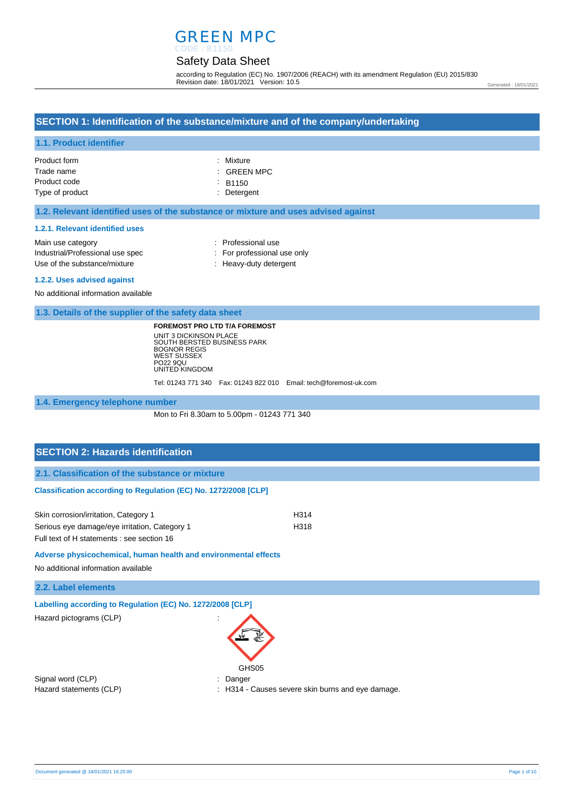# GREEN MPC

#### Safety Data Sheet CODE : B1150

according to Regulation (EC) No. 1907/2006 (REACH) with its amendment Regulation (EU) 2015/830 Revision date: 18/01/2021 Version: 10.5

Generated : 18/01/2021

## **SECTION 1: Identification of the substance/mixture and of the company/undertaking**

### **1.1. Product identifier**

| Product form    | : Mixture              |
|-----------------|------------------------|
| Trade name      | $\therefore$ GREEN MPC |
| Product code    | $\cdot$ B1150          |
| Type of product | : Detergent            |

#### **1.2. Relevant identified uses of the substance or mixture and uses advised against**

#### **1.2.1. Relevant identified uses**

| Main use category                | : Professional use          |
|----------------------------------|-----------------------------|
| Industrial/Professional use spec | : For professional use only |
| Use of the substance/mixture     | : Heavy-duty detergent      |
|                                  |                             |

#### **1.2.2. Uses advised against**

No additional information available

**1.3. Details of the supplier of the safety data sheet**

**FOREMOST PRO LTD T/A FOREMOST** UNIT 3 DICKINSON PLACE SOUTH BERSTED BUSINESS PARK BOGNOR REGIS WEST SUSSEX PO22 9QU UNITED KINGDOM

Tel: 01243 771 340 Fax: 01243 822 010 Email: tech@foremost-uk.com

**1.4. Emergency telephone number**

Mon to Fri 8.30am to 5.00pm - 01243 771 340

## **SECTION 2: Hazards identification**

**2.1. Classification of the substance or mixture**

#### **Classification according to Regulation (EC) No. 1272/2008 [CLP]**

| Skin corrosion/irritation, Category 1         | H314 |
|-----------------------------------------------|------|
| Serious eye damage/eye irritation, Category 1 | H318 |
| Full text of H statements : see section 16    |      |

#### **Adverse physicochemical, human health and environmental effects**

No additional information available

**2.2. Label elements**

**Labelling according to Regulation (EC) No. 1272/2008 [CLP]** 

Hazard pictograms (CLP) :



Signal word (CLP)  $\qquad \qquad$ : Danger

Hazard statements (CLP)  $\qquad \qquad$ : H314 - Causes severe skin burns and eye damage.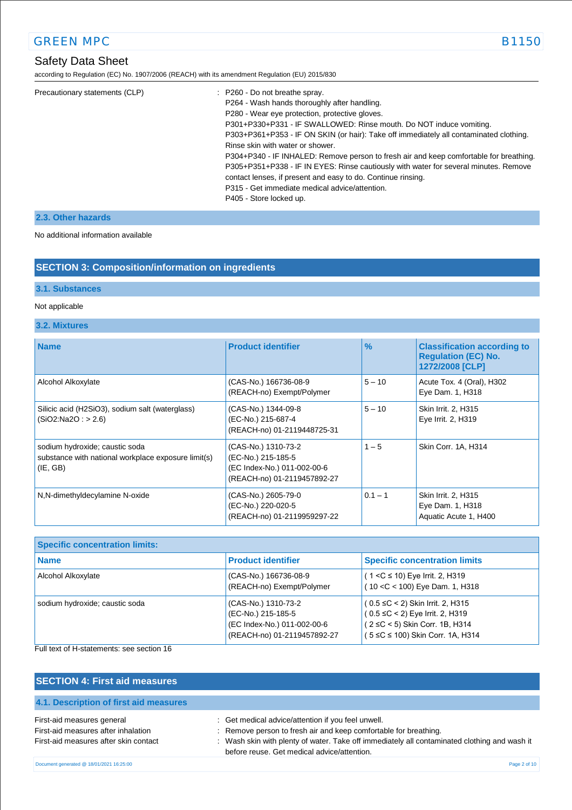## Safety Data Sheet

according to Regulation (EC) No. 1907/2006 (REACH) with its amendment Regulation (EU) 2015/830

| Precautionary statements (CLP) | : P260 - Do not breathe spray.                                                         |
|--------------------------------|----------------------------------------------------------------------------------------|
|                                | P264 - Wash hands thoroughly after handling.                                           |
|                                | P280 - Wear eye protection, protective gloves.                                         |
|                                | P301+P330+P331 - IF SWALLOWED: Rinse mouth. Do NOT induce vomiting.                    |
|                                | P303+P361+P353 - IF ON SKIN (or hair): Take off immediately all contaminated clothing. |
|                                | Rinse skin with water or shower.                                                       |
|                                | P304+P340 - IF INHALED: Remove person to fresh air and keep comfortable for breathing. |
|                                | P305+P351+P338 - IF IN EYES: Rinse cautiously with water for several minutes. Remove   |
|                                | contact lenses, if present and easy to do. Continue rinsing.                           |
|                                | P315 - Get immediate medical advice/attention.                                         |
|                                | P405 - Store locked up.                                                                |
|                                |                                                                                        |

## **2.3. Other hazards**

No additional information available

## **SECTION 3: Composition/information on ingredients**

## **3.1. Substances**

### Not applicable

### **3.2. Mixtures**

| <b>Name</b>                                                                                       | <b>Product identifier</b>                                                                               | $\frac{9}{6}$ | <b>Classification according to</b><br><b>Regulation (EC) No.</b><br>1272/2008 [CLP] |
|---------------------------------------------------------------------------------------------------|---------------------------------------------------------------------------------------------------------|---------------|-------------------------------------------------------------------------------------|
| Alcohol Alkoxylate                                                                                | (CAS-No.) 166736-08-9<br>(REACH-no) Exempt/Polymer                                                      | $5 - 10$      | Acute Tox. 4 (Oral), H302<br>Eye Dam. 1, H318                                       |
| Silicic acid (H2SiO3), sodium salt (waterglass)<br>(SiO2:Na2O: > 2.6)                             | (CAS-No.) 1344-09-8<br>(EC-No.) 215-687-4<br>(REACH-no) 01-2119448725-31                                | $5 - 10$      | Skin Irrit. 2, H315<br>Eye Irrit. 2, H319                                           |
| sodium hydroxide; caustic soda<br>substance with national workplace exposure limit(s)<br>(IE, GB) | (CAS-No.) 1310-73-2<br>(EC-No.) 215-185-5<br>(EC Index-No.) 011-002-00-6<br>(REACH-no) 01-2119457892-27 | $1 - 5$       | Skin Corr. 1A, H314                                                                 |
| N,N-dimethyldecylamine N-oxide                                                                    | (CAS-No.) 2605-79-0<br>(EC-No.) 220-020-5<br>(REACH-no) 01-2119959297-22                                | $0.1 - 1$     | Skin Irrit. 2, H315<br>Eye Dam. 1, H318<br>Aquatic Acute 1, H400                    |

| <b>Specific concentration limits:</b> |                                                                                                         |                                                                                                                                                      |  |
|---------------------------------------|---------------------------------------------------------------------------------------------------------|------------------------------------------------------------------------------------------------------------------------------------------------------|--|
| <b>Name</b>                           | <b>Product identifier</b>                                                                               | <b>Specific concentration limits</b>                                                                                                                 |  |
| Alcohol Alkoxylate                    | (CAS-No.) 166736-08-9<br>(REACH-no) Exempt/Polymer                                                      | $(1 < C \le 10)$ Eye Irrit. 2, H319<br>(10 < C < 100) Eye Dam. 1, H318                                                                               |  |
| sodium hydroxide; caustic soda        | (CAS-No.) 1310-73-2<br>(EC-No.) 215-185-5<br>(EC Index-No.) 011-002-00-6<br>(REACH-no) 01-2119457892-27 | $(0.5 \leq C < 2)$ Skin Irrit. 2, H315<br>$(0.5 \le C < 2)$ Eye Irrit. 2, H319<br>(2 ≤C < 5) Skin Corr. 1B, H314<br>(5 ≤C ≤ 100) Skin Corr. 1A, H314 |  |

## Full text of H-statements: see section 16

| <b>SECTION 4: First aid measures</b>                                                                       |                                                                                                                                                                                                                                                                       |
|------------------------------------------------------------------------------------------------------------|-----------------------------------------------------------------------------------------------------------------------------------------------------------------------------------------------------------------------------------------------------------------------|
| 4.1. Description of first aid measures                                                                     |                                                                                                                                                                                                                                                                       |
| First-aid measures general<br>First-aid measures after inhalation<br>First-aid measures after skin contact | : Get medical advice/attention if you feel unwell.<br>: Remove person to fresh air and keep comfortable for breathing.<br>: Wash skin with plenty of water. Take off immediately all contaminated clothing and wash it<br>before reuse. Get medical advice/attention. |
| Document generated @ 18/01/2021 16:25:00                                                                   | Page 2 of 10                                                                                                                                                                                                                                                          |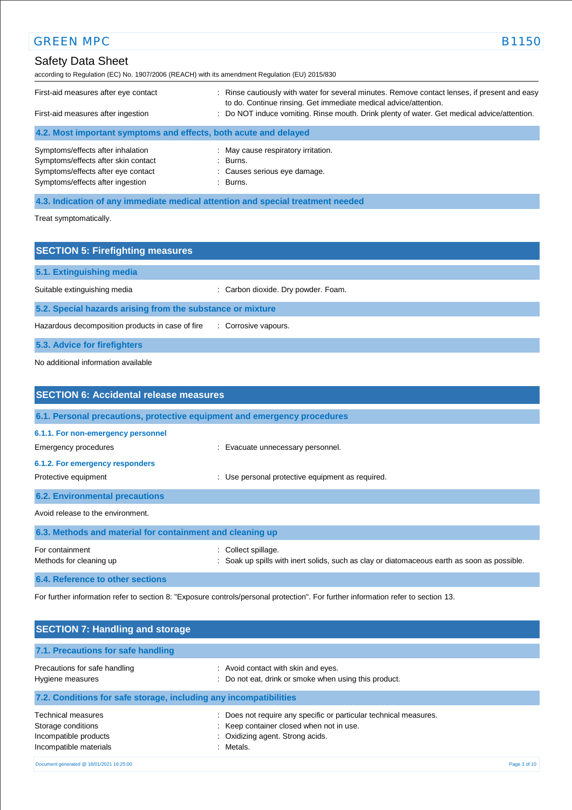## Safety Data Sheet according to Regulation (EC) No. 1907/2006 (REACH) with its amendment Regulation (EU) 2015/830 First-aid measures after eye contact : Rinse cautiously with water for several minutes. Remove contact lenses, if present and easy to do. Continue rinsing. Get immediate medical advice/attention. First-aid measures after ingestion : Do NOT induce vomiting. Rinse mouth. Drink plenty of water. Get medical advice/attention. **4.2. Most important symptoms and effects, both acute and delayed** Symptoms/effects after inhalation : May cause respiratory irritation. Symptoms/effects after skin contact : Burns. Symptoms/effects after eye contact : Causes serious eye damage. Symptoms/effects after ingestion : Burns. GREEN MPC B1150

**4.3. Indication of any immediate medical attention and special treatment needed**

Treat symptomatically.

| <b>SECTION 5: Firefighting measures</b>                    |                                     |
|------------------------------------------------------------|-------------------------------------|
| 5.1. Extinguishing media                                   |                                     |
| Suitable extinguishing media                               | : Carbon dioxide. Dry powder. Foam. |
| 5.2. Special hazards arising from the substance or mixture |                                     |
| Hazardous decomposition products in case of fire           | : Corrosive vapours.                |
| 5.3. Advice for firefighters                               |                                     |

No additional information available

| <b>SECTION 6: Accidental release measures</b>             |                                                                                                                    |
|-----------------------------------------------------------|--------------------------------------------------------------------------------------------------------------------|
|                                                           | 6.1. Personal precautions, protective equipment and emergency procedures                                           |
| 6.1.1. For non-emergency personnel                        |                                                                                                                    |
| Emergency procedures                                      | : Evacuate unnecessary personnel.                                                                                  |
| 6.1.2. For emergency responders                           |                                                                                                                    |
| Protective equipment                                      | : Use personal protective equipment as required.                                                                   |
| <b>6.2. Environmental precautions</b>                     |                                                                                                                    |
| Avoid release to the environment.                         |                                                                                                                    |
| 6.3. Methods and material for containment and cleaning up |                                                                                                                    |
| For containment<br>Methods for cleaning up                | : Collect spillage.<br>: Soak up spills with inert solids, such as clay or diatomaceous earth as soon as possible. |
| 6.4. Reference to other sections                          |                                                                                                                    |

For further information refer to section 8: "Exposure controls/personal protection". For further information refer to section 13.

| <b>SECTION 7: Handling and storage</b>                                                             |                                                                                                                                                                   |              |
|----------------------------------------------------------------------------------------------------|-------------------------------------------------------------------------------------------------------------------------------------------------------------------|--------------|
| 7.1. Precautions for safe handling                                                                 |                                                                                                                                                                   |              |
| Precautions for safe handling<br>Hygiene measures                                                  | : Avoid contact with skin and eyes.<br>: Do not eat, drink or smoke when using this product.                                                                      |              |
| 7.2. Conditions for safe storage, including any incompatibilities                                  |                                                                                                                                                                   |              |
| <b>Technical measures</b><br>Storage conditions<br>Incompatible products<br>Incompatible materials | : Does not require any specific or particular technical measures.<br>: Keep container closed when not in use.<br>: Oxidizing agent. Strong acids.<br>Metals.<br>٠ |              |
| Document generated @ 18/01/2021 16:25:00                                                           |                                                                                                                                                                   | Page 3 of 10 |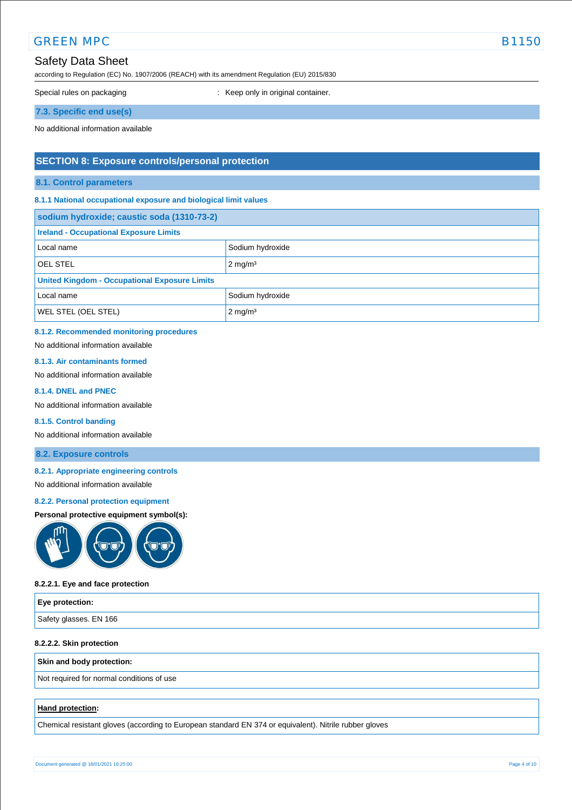## Safety Data Sheet

according to Regulation (EC) No. 1907/2006 (REACH) with its amendment Regulation (EU) 2015/830

Special rules on packaging **interest of the Container** : Keep only in original container.

**7.3. Specific end use(s)**

No additional information available

## **SECTION 8: Exposure controls/personal protection**

#### **8.1. Control parameters**

### **8.1.1 National occupational exposure and biological limit values**

| sodium hydroxide; caustic soda (1310-73-2)           |                    |  |
|------------------------------------------------------|--------------------|--|
| <b>Ireland - Occupational Exposure Limits</b>        |                    |  |
| Local name                                           | Sodium hydroxide   |  |
| OEL STEL                                             | $2 \text{ mg/m}^3$ |  |
| <b>United Kingdom - Occupational Exposure Limits</b> |                    |  |
| Local name                                           | Sodium hydroxide   |  |
| <b>WEL STEL (OEL STEL)</b>                           | $2 \text{ mg/m}^3$ |  |

### **8.1.2. Recommended monitoring procedures**

No additional information available

#### **8.1.3. Air contaminants formed**

No additional information available

#### **8.1.4. DNEL and PNEC**

No additional information available

#### **8.1.5. Control banding**

No additional information available

### **8.2. Exposure controls**

### **8.2.1. Appropriate engineering controls**

No additional information available

#### **8.2.2. Personal protection equipment**

### **Personal protective equipment symbol(s):**



#### **8.2.2.1. Eye and face protection**

| Eye protection:        |  |
|------------------------|--|
| Safety glasses. EN 166 |  |

### **8.2.2.2. Skin protection**

#### **Skin and body protection:**

Not required for normal conditions of use

#### **Hand protection:**

Chemical resistant gloves (according to European standard EN 374 or equivalent). Nitrile rubber gloves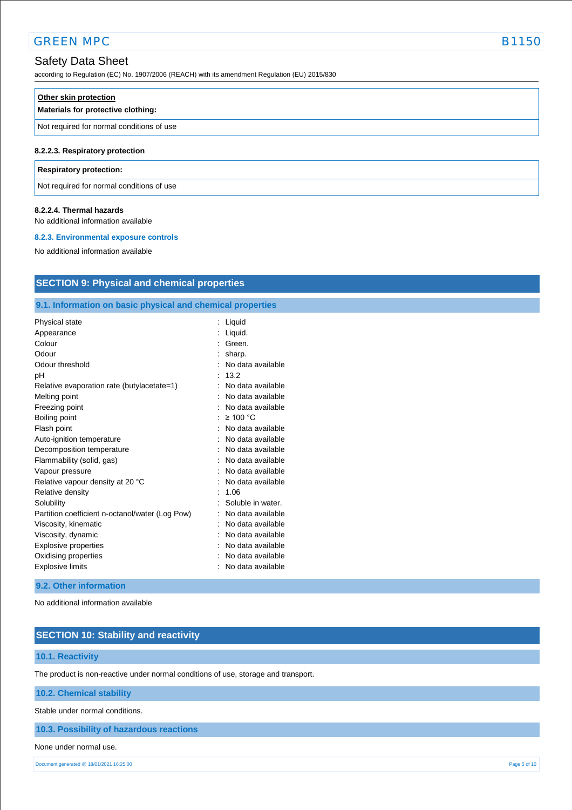according to Regulation (EC) No. 1907/2006 (REACH) with its amendment Regulation (EU) 2015/830

| Other skin protection<br>Materials for protective clothing: |  |
|-------------------------------------------------------------|--|
| Not required for normal conditions of use                   |  |
| 8.2.2.3. Respiratory protection                             |  |

#### **Respiratory protection:**

Not required for normal conditions of use

#### **8.2.2.4. Thermal hazards**

No additional information available

#### **8.2.3. Environmental exposure controls**

No additional information available

## **SECTION 9: Physical and chemical properties**

## **9.1. Information on basic physical and chemical properties**

| Physical state                                  | $\ddot{\phantom{a}}$ | Liquid            |
|-------------------------------------------------|----------------------|-------------------|
| Appearance                                      |                      | Liquid.           |
| Colour                                          |                      | Green.            |
| Odour                                           |                      | sharp.            |
| Odour threshold                                 |                      | No data available |
| рH                                              |                      | 13.2              |
| Relative evaporation rate (butylacetate=1)      |                      | No data available |
| Melting point                                   |                      | No data available |
| Freezing point                                  |                      | No data available |
| Boiling point                                   |                      | $\geq 100$ °C     |
| Flash point                                     |                      | No data available |
| Auto-ignition temperature                       |                      | No data available |
| Decomposition temperature                       |                      | No data available |
| Flammability (solid, gas)                       |                      | No data available |
| Vapour pressure                                 |                      | No data available |
| Relative vapour density at 20 °C                |                      | No data available |
| Relative density                                |                      | 1.06              |
| Solubility                                      |                      | Soluble in water. |
| Partition coefficient n-octanol/water (Log Pow) |                      | No data available |
| Viscosity, kinematic                            |                      | No data available |
| Viscosity, dynamic                              |                      | No data available |
| Explosive properties                            |                      | No data available |
| Oxidising properties                            |                      | No data available |
| <b>Explosive limits</b>                         |                      | No data available |
|                                                 |                      |                   |

### **9.2. Other information**

No additional information available

## **SECTION 10: Stability and reactivity**

### **10.1. Reactivity**

The product is non-reactive under normal conditions of use, storage and transport.

### **10.2. Chemical stability**

Stable under normal conditions.

### **10.3. Possibility of hazardous reactions**

#### None under normal use.

Document generated @ 18/01/2021 16:25:00 Page 5 of 10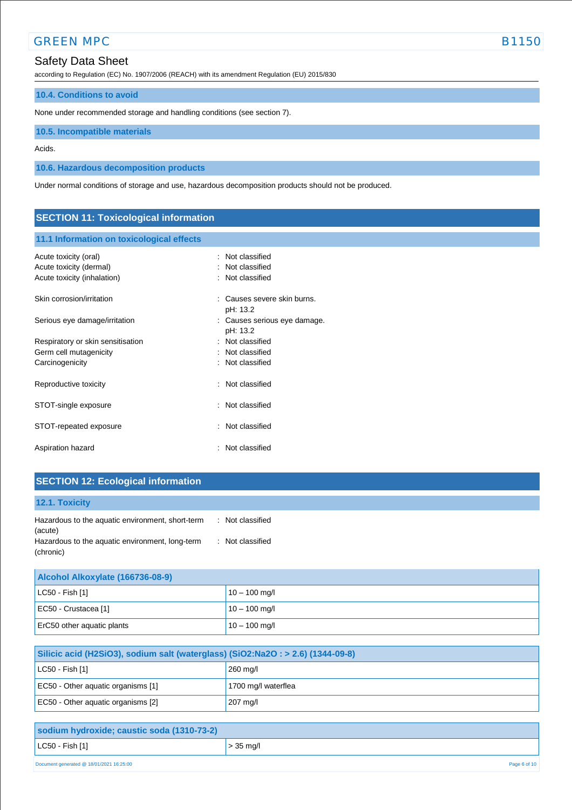## Safety Data Sheet

according to Regulation (EC) No. 1907/2006 (REACH) with its amendment Regulation (EU) 2015/830

### **10.4. Conditions to avoid**

None under recommended storage and handling conditions (see section 7).

### **10.5. Incompatible materials**

Acids.

**10.6. Hazardous decomposition products**

Under normal conditions of storage and use, hazardous decomposition products should not be produced.

## **SECTION 11: Toxicological information**

## **11.1 Information on toxicological effects**

| Acute toxicity (oral)<br>Acute toxicity (dermal)<br>Acute toxicity (inhalation) | : Not classified<br>: Not classified<br>Not classified |
|---------------------------------------------------------------------------------|--------------------------------------------------------|
| Skin corrosion/irritation                                                       | Causes severe skin burns.<br>pH: 13.2                  |
| Serious eye damage/irritation                                                   | : Causes serious eye damage.<br>pH: 13.2               |
| Respiratory or skin sensitisation                                               | : Not classified                                       |
| Germ cell mutagenicity                                                          | : Not classified                                       |
| Carcinogenicity                                                                 | : Not classified                                       |
| Reproductive toxicity                                                           | : Not classified                                       |
| STOT-single exposure                                                            | : Not classified                                       |
| STOT-repeated exposure                                                          | Not classified<br>t.                                   |
| Aspiration hazard                                                               | : Not classified                                       |

## **SECTION 12: Ecological information**

| 12.1. Toxicity                                               |                  |
|--------------------------------------------------------------|------------------|
| Hazardous to the aquatic environment, short-term<br>(acute)  | : Not classified |
| Hazardous to the aquatic environment, long-term<br>(chronic) | : Not classified |

| Alcohol Alkoxylate (166736-08-9) |                 |  |
|----------------------------------|-----------------|--|
| $ $ LC50 - Fish [1]              | $10 - 100$ mg/l |  |
| EC50 - Crustacea [1]             | $10 - 100$ mg/l |  |
| ErC50 other aquatic plants       | $10 - 100$ mg/l |  |

| Silicic acid (H2SiO3), sodium salt (waterglass) (SiO2:Na2O : > 2.6) (1344-09-8) |                     |  |
|---------------------------------------------------------------------------------|---------------------|--|
| $ $ LC50 - Fish [1]                                                             | 260 mg/l            |  |
| EC50 - Other aguatic organisms [1]                                              | 1700 mg/l waterflea |  |
| EC50 - Other aquatic organisms [2]                                              | 207 mg/l            |  |

| sodium hydroxide; caustic soda (1310-73-2)               |             |
|----------------------------------------------------------|-------------|
| $ $ LC50 - Fish [1]                                      | $>$ 35 mg/l |
| Document generated @ 18/01/2021 16:25:00<br>Page 6 of 10 |             |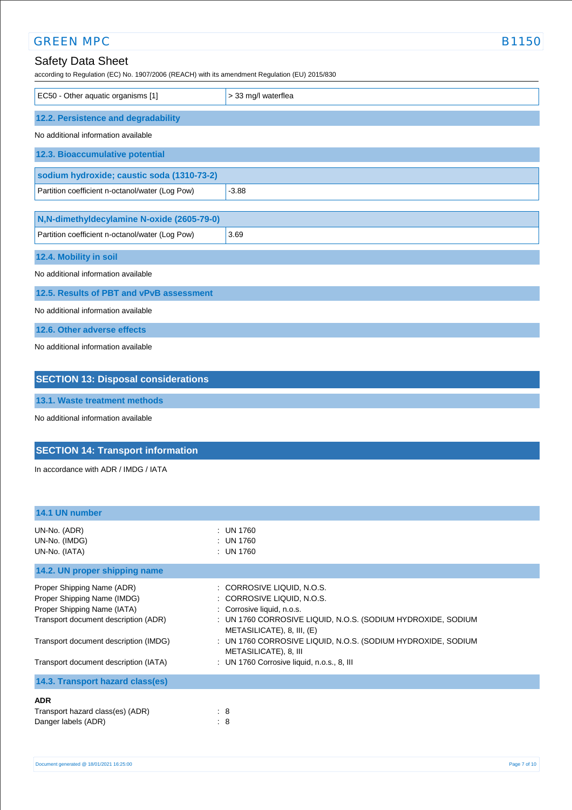| <b>GREEN MPC</b>                                                                                                           | <b>B1150</b>        |
|----------------------------------------------------------------------------------------------------------------------------|---------------------|
| <b>Safety Data Sheet</b><br>according to Regulation (EC) No. 1907/2006 (REACH) with its amendment Regulation (EU) 2015/830 |                     |
| EC50 - Other aquatic organisms [1]                                                                                         | > 33 mg/l waterflea |
| 12.2. Persistence and degradability                                                                                        |                     |
| No additional information available                                                                                        |                     |
| 12.3. Bioaccumulative potential                                                                                            |                     |
| sodium hydroxide; caustic soda (1310-73-2)                                                                                 |                     |
| Partition coefficient n-octanol/water (Log Pow)                                                                            | $-3.88$             |
| N,N-dimethyldecylamine N-oxide (2605-79-0)                                                                                 |                     |
| Partition coefficient n-octanol/water (Log Pow)                                                                            | 3.69                |
| 12.4. Mobility in soil                                                                                                     |                     |
| No additional information available                                                                                        |                     |
| 12.5. Results of PBT and vPvB assessment                                                                                   |                     |
| No additional information available                                                                                        |                     |
| 12.6. Other adverse effects                                                                                                |                     |
| No additional information available                                                                                        |                     |
| <b>SECTION 13: Disposal considerations</b>                                                                                 |                     |
| 13.1. Waste treatment methods                                                                                              |                     |
| No additional information available                                                                                        |                     |

## **SECTION 14: Transport information**

In accordance with ADR / IMDG / IATA

| 14.1 UN number                                                                                                                                                                                                     |                                                                                                                                                                                                                                                                                                                             |
|--------------------------------------------------------------------------------------------------------------------------------------------------------------------------------------------------------------------|-----------------------------------------------------------------------------------------------------------------------------------------------------------------------------------------------------------------------------------------------------------------------------------------------------------------------------|
| UN-No. (ADR)<br>UN-No. (IMDG)<br>UN-No. (IATA)                                                                                                                                                                     | : UN 1760<br>: UN 1760<br>: UN 1760                                                                                                                                                                                                                                                                                         |
| 14.2. UN proper shipping name                                                                                                                                                                                      |                                                                                                                                                                                                                                                                                                                             |
| Proper Shipping Name (ADR)<br>Proper Shipping Name (IMDG)<br>Proper Shipping Name (IATA)<br>Transport document description (ADR)<br>Transport document description (IMDG)<br>Transport document description (IATA) | : CORROSIVE LIQUID, N.O.S.<br>: CORROSIVE LIQUID, N.O.S.<br>: Corrosive liquid, n.o.s.<br>: UN 1760 CORROSIVE LIQUID, N.O.S. (SODIUM HYDROXIDE, SODIUM<br>METASILICATE), 8, III, (E)<br>: UN 1760 CORROSIVE LIQUID, N.O.S. (SODIUM HYDROXIDE, SODIUM<br>METASILICATE), 8, III<br>: UN 1760 Corrosive liquid, n.o.s., 8, III |
| 14.3. Transport hazard class(es)                                                                                                                                                                                   |                                                                                                                                                                                                                                                                                                                             |
| <b>ADR</b><br>Transport hazard class(es) (ADR)<br>Danger labels (ADR)                                                                                                                                              | $\therefore$ 8<br>$\therefore$ 8                                                                                                                                                                                                                                                                                            |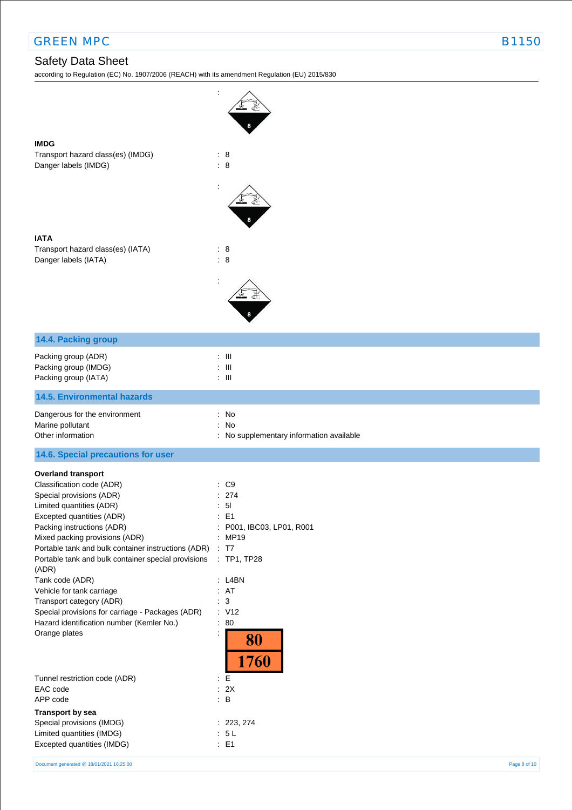## Safety Data Sheet

according to Regulation (EC) No. 1907/2006 (REACH) with its amendment Regulation (EU) 2015/830

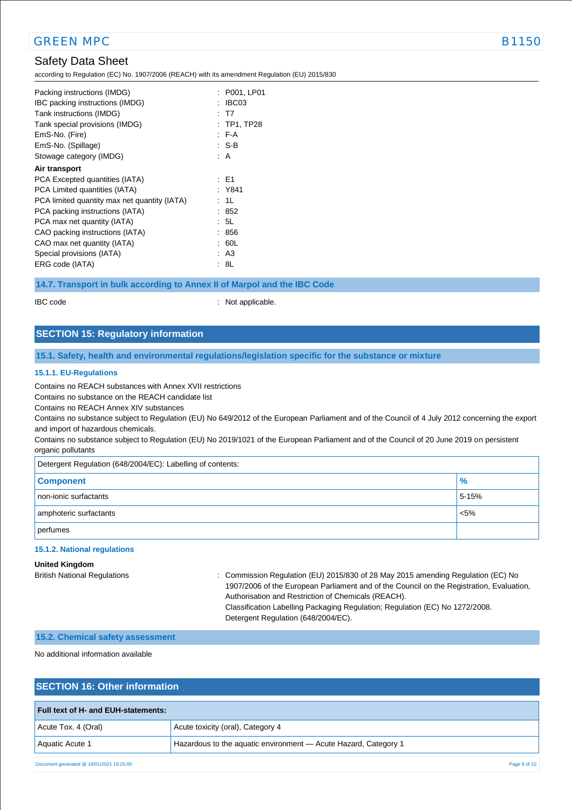## Safety Data Sheet

according to Regulation (EC) No. 1907/2006 (REACH) with its amendment Regulation (EU) 2015/830

| Packing instructions (IMDG)                  | : P001, LP01 |
|----------------------------------------------|--------------|
| IBC packing instructions (IMDG)              | IBC03        |
| Tank instructions (IMDG)                     | : T7         |
| Tank special provisions (IMDG)               | : TP1, TP28  |
| EmS-No. (Fire)                               | F A          |
| EmS-No. (Spillage)                           | : S-B        |
| Stowage category (IMDG)                      | : A          |
| Air transport                                |              |
| PCA Excepted quantities (IATA)               | : E1         |
| PCA Limited quantities (IATA)                | : Y841       |
| PCA limited quantity max net quantity (IATA) | : 1L         |
| PCA packing instructions (IATA)              | : 852        |
| PCA max net quantity (IATA)                  | : 5L         |
| CAO packing instructions (IATA)              | : 856        |
| CAO max net quantity (IATA)                  | : 60L        |
| Special provisions (IATA)                    | : A3         |
| ERG code (IATA)                              | : 8L         |

**14.7. Transport in bulk according to Annex II of Marpol and the IBC Code**

IBC code : Not applicable.

## **SECTION 15: Regulatory information**

### **15.1. Safety, health and environmental regulations/legislation specific for the substance or mixture**

#### **15.1.1. EU-Regulations**

Contains no REACH substances with Annex XVII restrictions

Contains no substance on the REACH candidate list

Contains no REACH Annex XIV substances

Contains no substance subject to Regulation (EU) No 649/2012 of the European Parliament and of the Council of 4 July 2012 concerning the export and import of hazardous chemicals.

Contains no substance subject to Regulation (EU) No 2019/1021 of the European Parliament and of the Council of 20 June 2019 on persistent organic pollutants

Detergent Regulation (648/2004/EC): Labelling of contents:

| <b>Component</b>       | $\%$    |
|------------------------|---------|
| non-ionic surfactants  | 5-15%   |
| amphoteric surfactants | $< 5\%$ |
| perfumes               |         |

#### **15.1.2. National regulations**

#### **United Kingdom**

British National Regulations : Commission Regulation (EU) 2015/830 of 28 May 2015 amending Regulation (EC) No 1907/2006 of the European Parliament and of the Council on the Registration, Evaluation, Authorisation and Restriction of Chemicals (REACH). Classification Labelling Packaging Regulation; Regulation (EC) No 1272/2008. Detergent Regulation (648/2004/EC).

### **15.2. Chemical safety assessment**

No additional information available

### **SECTION 16: Other information**

| <b>Full text of H- and EUH-statements:</b> |                                                                 |
|--------------------------------------------|-----------------------------------------------------------------|
| Acute Tox. 4 (Oral)                        | Acute toxicity (oral), Category 4                               |
| Aquatic Acute 1                            | Hazardous to the aquatic environment - Acute Hazard, Category 1 |
| Document generated @ 18/01/2021 16:25:00   | Page 9 of 10                                                    |